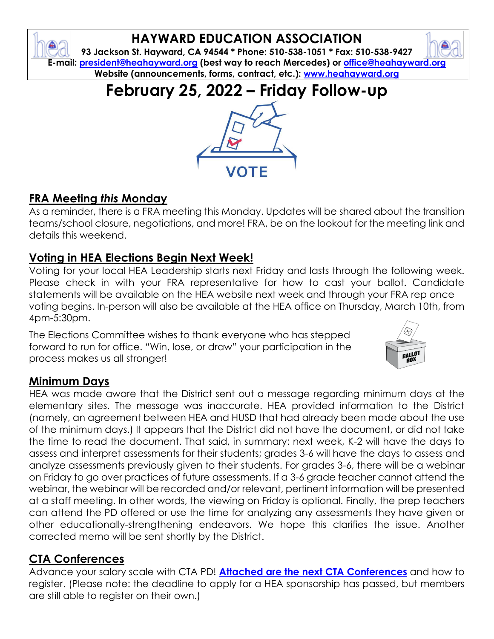## **HAYWARD EDUCATION ASSOCIATION**

**93 Jackson St. Hayward, CA 94544 \* Phone: 510-538-1051 \* Fax: 510-538-9427 E-mail: [president@heahayward.org](mailto:president@heahayward.org) (best way to reach Mercedes) or [office@heahayward.org](mailto:office@heahayward.org) Website (announcements, forms, contract, etc.): [www.heahayward.org](http://www.heahayward.org/)**

**February 25, 2022 – Friday Follow-up**

## **FRA Meeting** *this* **Monday**

As a reminder, there is a FRA meeting this Monday. Updates will be shared about the transition teams/school closure, negotiations, and more! FRA, be on the lookout for the meeting link and details this weekend.

#### **Voting in HEA Elections Begin Next Week!**

Voting for your local HEA Leadership starts next Friday and lasts through the following week. Please check in with your FRA representative for how to cast your ballot. Candidate statements will be available on the HEA website next week and through your FRA rep once voting begins. In-person will also be available at the HEA office on Thursday, March 10th, from 4pm-5:30pm.

The Elections Committee wishes to thank everyone who has stepped forward to run for office. "Win, lose, or draw" your participation in the process makes us all stronger!

#### **Minimum Days**

HEA was made aware that the District sent out a message regarding minimum days at the elementary sites. The message was inaccurate. HEA provided information to the District (namely, an agreement between HEA and HUSD that had already been made about the use of the minimum days.) It appears that the District did not have the document, or did not take the time to read the document. That said, in summary: next week, K-2 will have the days to assess and interpret assessments for their students; grades 3-6 will have the days to assess and analyze assessments previously given to their students. For grades 3-6, there will be a webinar on Friday to go over practices of future assessments. If a 3-6 grade teacher cannot attend the webinar, the webinar will be recorded and/or relevant, pertinent information will be presented at a staff meeting. In other words, the viewing on Friday is optional. Finally, the prep teachers can attend the PD offered or use the time for analyzing any assessments they have given or other educationally-strengthening endeavors. We hope this clarifies the issue. Another corrected memo will be sent shortly by the District.

#### **CTA Conferences**

Advance your salary scale with CTA PD! **[Attached are the next CTA Conferences](https://drive.google.com/file/d/1FhxeGHP8iR3IztHSOq2F8kB0CtS-s0n0/view?usp=sharing)** and how to register. (Please note: the deadline to apply for a HEA sponsorship has passed, but members are still able to register on their own.)